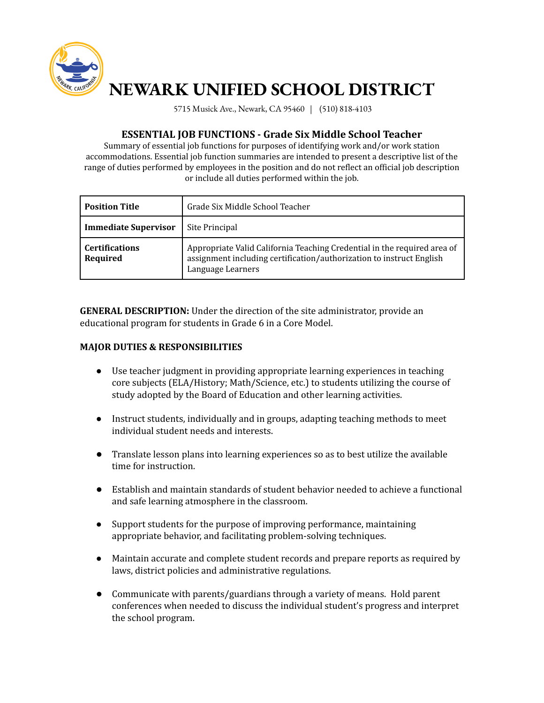

# **NEWARK UNIFIED SCHOOL DISTRICT**

5715 Musick Ave., Newark, CA 95460 | (510) 818-4103

## **ESSENTIAL JOB FUNCTIONS - Grade Six Middle School Teacher**

Summary of essential job functions for purposes of identifying work and/or work station accommodations. Essential job function summaries are intended to present a descriptive list of the range of duties performed by employees in the position and do not reflect an official job description or include all duties performed within the job.

| <b>Position Title</b>             | Grade Six Middle School Teacher                                                                                                                                       |
|-----------------------------------|-----------------------------------------------------------------------------------------------------------------------------------------------------------------------|
| <b>Immediate Supervisor</b>       | Site Principal                                                                                                                                                        |
| <b>Certifications</b><br>Required | Appropriate Valid California Teaching Credential in the required area of<br>assignment including certification/authorization to instruct English<br>Language Learners |

**GENERAL DESCRIPTION:** Under the direction of the site administrator, provide an educational program for students in Grade 6 in a Core Model.

### **MAJOR DUTIES & RESPONSIBILITIES**

- Use teacher judgment in providing appropriate learning experiences in teaching core subjects (ELA/History; Math/Science, etc.) to students utilizing the course of study adopted by the Board of Education and other learning activities.
- Instruct students, individually and in groups, adapting teaching methods to meet individual student needs and interests.
- Translate lesson plans into learning experiences so as to best utilize the available time for instruction.
- Establish and maintain standards of student behavior needed to achieve a functional and safe learning atmosphere in the classroom.
- Support students for the purpose of improving performance, maintaining appropriate behavior, and facilitating problem-solving techniques.
- Maintain accurate and complete student records and prepare reports as required by laws, district policies and administrative regulations.
- Communicate with parents/guardians through a variety of means. Hold parent conferences when needed to discuss the individual student's progress and interpret the school program.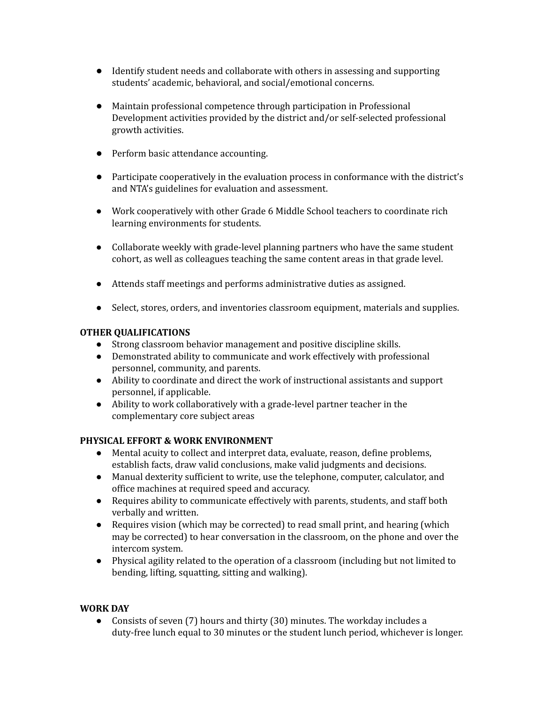- Identify student needs and collaborate with others in assessing and supporting students' academic, behavioral, and social/emotional concerns.
- Maintain professional competence through participation in Professional Development activities provided by the district and/or self-selected professional growth activities.
- Perform basic attendance accounting.
- Participate cooperatively in the evaluation process in conformance with the district's and NTA's guidelines for evaluation and assessment.
- Work cooperatively with other Grade 6 Middle School teachers to coordinate rich learning environments for students.
- Collaborate weekly with grade-level planning partners who have the same student cohort, as well as colleagues teaching the same content areas in that grade level.
- Attends staff meetings and performs administrative duties as assigned.
- Select, stores, orders, and inventories classroom equipment, materials and supplies.

## **OTHER QUALIFICATIONS**

- Strong classroom behavior management and positive discipline skills.
- Demonstrated ability to communicate and work effectively with professional personnel, community, and parents.
- Ability to coordinate and direct the work of instructional assistants and support personnel, if applicable.
- Ability to work collaboratively with a grade-level partner teacher in the complementary core subject areas

## **PHYSICAL EFFORT & WORK ENVIRONMENT**

- Mental acuity to collect and interpret data, evaluate, reason, define problems, establish facts, draw valid conclusions, make valid judgments and decisions.
- Manual dexterity sufficient to write, use the telephone, computer, calculator, and office machines at required speed and accuracy.
- Requires ability to communicate effectively with parents, students, and staff both verbally and written.
- Requires vision (which may be corrected) to read small print, and hearing (which may be corrected) to hear conversation in the classroom, on the phone and over the intercom system.
- Physical agility related to the operation of a classroom (including but not limited to bending, lifting, squatting, sitting and walking).

## **WORK DAY**

● Consists of seven (7) hours and thirty (30) minutes. The workday includes a duty-free lunch equal to 30 minutes or the student lunch period, whichever is longer.